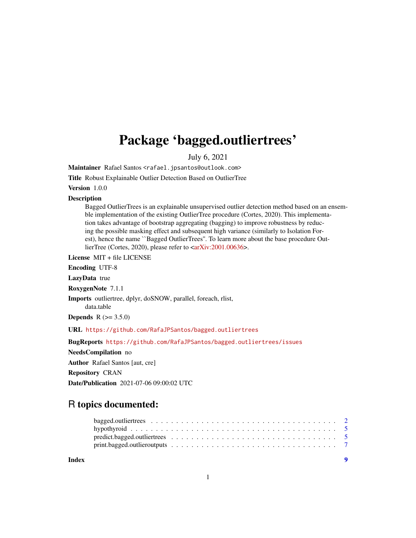## Package 'bagged.outliertrees'

July 6, 2021

Maintainer Rafael Santos <rafael.jpsantos@outlook.com>

Title Robust Explainable Outlier Detection Based on OutlierTree

Version 1.0.0

#### **Description**

Bagged OutlierTrees is an explainable unsupervised outlier detection method based on an ensemble implementation of the existing OutlierTree procedure (Cortes, 2020). This implementation takes advantage of bootstrap aggregating (bagging) to improve robustness by reducing the possible masking effect and subsequent high variance (similarly to Isolation Forest), hence the name ``Bagged OutlierTrees''. To learn more about the base procedure Out-lierTree (Cortes, 2020), please refer to [<arXiv:2001.00636>](https://arxiv.org/abs/2001.00636).

License MIT + file LICENSE

Encoding UTF-8

LazyData true

RoxygenNote 7.1.1

Imports outliertree, dplyr, doSNOW, parallel, foreach, rlist,

data.table

**Depends** R  $(>= 3.5.0)$ 

URL <https://github.com/RafaJPSantos/bagged.outliertrees>

BugReports <https://github.com/RafaJPSantos/bagged.outliertrees/issues>

NeedsCompilation no

Author Rafael Santos [aut, cre]

Repository CRAN

Date/Publication 2021-07-06 09:00:02 UTC

### R topics documented:

| Index |  |  |  |  |  |  |  |  |  |  |  |  |  |  |  |  |  |
|-------|--|--|--|--|--|--|--|--|--|--|--|--|--|--|--|--|--|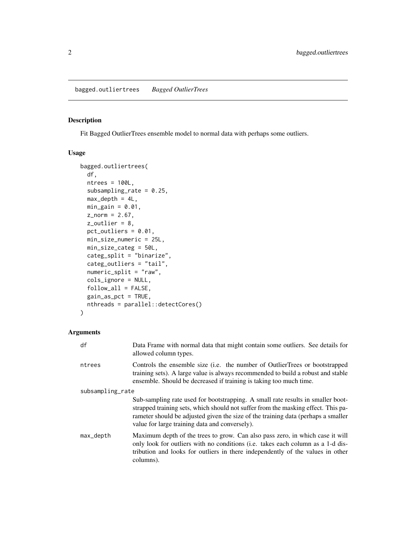#### <span id="page-1-1"></span><span id="page-1-0"></span>Description

Fit Bagged OutlierTrees ensemble model to normal data with perhaps some outliers.

#### Usage

```
bagged.outliertrees(
  df,
  ntrees = 100L,subsampling_rate = 0.25,
 max\_depth = 4L,
 min\_gain = 0.01,z_{\text{norm}} = 2.67,
 z_outlier = 8,
 pct_outliers = 0.01,
 min_size_numeric = 25L,
 min_size_categ = 50L,
  categ_split = "binarize",
  categ_outliers = "tail",
  numeric_split = "raw",
  cols_ignore = NULL,
  follow_all = FALSE,
 gain_as_pct = TRUE,
  nthreads = parallel::detectCores()
)
```
#### Arguments

| df               | Data Frame with normal data that might contain some outliers. See details for<br>allowed column types.                                                                                                                                                                                                      |
|------------------|-------------------------------------------------------------------------------------------------------------------------------------------------------------------------------------------------------------------------------------------------------------------------------------------------------------|
| ntrees           | Controls the ensemble size ( <i>i.e.</i> the number of OutlierTrees or bootstrapped<br>training sets). A large value is always recommended to build a robust and stable<br>ensemble. Should be decreased if training is taking too much time.                                                               |
| subsampling_rate |                                                                                                                                                                                                                                                                                                             |
|                  | Sub-sampling rate used for bootstrapping. A small rate results in smaller boot-<br>strapped training sets, which should not suffer from the masking effect. This pa-<br>rameter should be adjusted given the size of the training data (perhaps a smaller<br>value for large training data and conversely). |
| max_depth        | Maximum depth of the trees to grow. Can also pass zero, in which case it will<br>only look for outliers with no conditions (i.e. takes each column as a 1-d dis-<br>tribution and looks for outliers in there independently of the values in other<br>columns).                                             |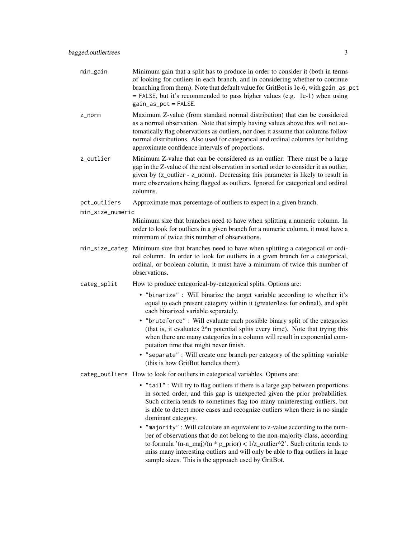- min\_gain Minimum gain that a split has to produce in order to consider it (both in terms of looking for outliers in each branch, and in considering whether to continue branching from them). Note that default value for GritBot is 1e-6, with gain\_as\_pct  $=$  FALSE, but it's recommended to pass higher values (e.g. 1e-1) when using gain\_as\_pct = FALSE.
- z\_norm Maximum Z-value (from standard normal distribution) that can be considered as a normal observation. Note that simply having values above this will not automatically flag observations as outliers, nor does it assume that columns follow normal distributions. Also used for categorical and ordinal columns for building approximate confidence intervals of proportions.
- z\_outlier Minimum Z-value that can be considered as an outlier. There must be a large gap in the Z-value of the next observation in sorted order to consider it as outlier, given by (z\_outlier - z\_norm). Decreasing this parameter is likely to result in more observations being flagged as outliers. Ignored for categorical and ordinal columns.
- pct\_outliers Approximate max percentage of outliers to expect in a given branch.
- min\_size\_numeric

Minimum size that branches need to have when splitting a numeric column. In order to look for outliers in a given branch for a numeric column, it must have a minimum of twice this number of observations.

- min\_size\_categ Minimum size that branches need to have when splitting a categorical or ordinal column. In order to look for outliers in a given branch for a categorical, ordinal, or boolean column, it must have a minimum of twice this number of observations.
- categ\_split How to produce categorical-by-categorical splits. Options are:
	- "binarize" : Will binarize the target variable according to whether it's equal to each present category within it (greater/less for ordinal), and split each binarized variable separately.
	- "bruteforce" : Will evaluate each possible binary split of the categories (that is, it evaluates 2^n potential splits every time). Note that trying this when there are many categories in a column will result in exponential computation time that might never finish.
	- "separate" : Will create one branch per category of the splitting variable (this is how GritBot handles them).
- categ\_outliers How to look for outliers in categorical variables. Options are:
	- "tail" : Will try to flag outliers if there is a large gap between proportions in sorted order, and this gap is unexpected given the prior probabilities. Such criteria tends to sometimes flag too many uninteresting outliers, but is able to detect more cases and recognize outliers when there is no single dominant category.
	- "majority" : Will calculate an equivalent to z-value according to the number of observations that do not belong to the non-majority class, according to formula '(n-n\_maj)/(n \* p\_prior) <  $1/z$ \_outlier^2'. Such criteria tends to miss many interesting outliers and will only be able to flag outliers in large sample sizes. This is the approach used by GritBot.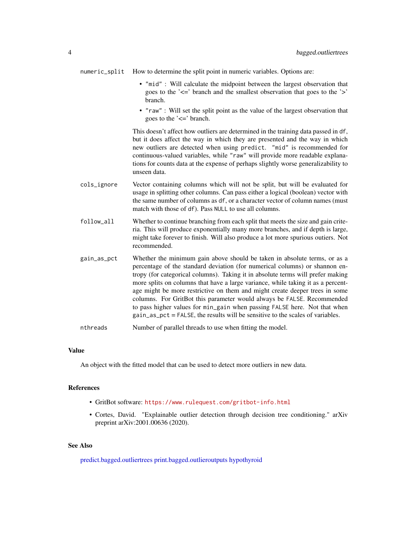<span id="page-3-0"></span>numeric\_split How to determine the split point in numeric variables. Options are:

- "mid" : Will calculate the midpoint between the largest observation that goes to the '<=' branch and the smallest observation that goes to the '>' branch.
- "raw" : Will set the split point as the value of the largest observation that goes to the '<=' branch.

This doesn't affect how outliers are determined in the training data passed in df, but it does affect the way in which they are presented and the way in which new outliers are detected when using predict. "mid" is recommended for continuous-valued variables, while "raw" will provide more readable explanations for counts data at the expense of perhaps slightly worse generalizability to unseen data.

- cols\_ignore Vector containing columns which will not be split, but will be evaluated for usage in splitting other columns. Can pass either a logical (boolean) vector with the same number of columns as df, or a character vector of column names (must match with those of df). Pass NULL to use all columns.
- follow\_all Whether to continue branching from each split that meets the size and gain criteria. This will produce exponentially many more branches, and if depth is large, might take forever to finish. Will also produce a lot more spurious outiers. Not recommended.
- gain\_as\_pct Whether the minimum gain above should be taken in absolute terms, or as a percentage of the standard deviation (for numerical columns) or shannon entropy (for categorical columns). Taking it in absolute terms will prefer making more splits on columns that have a large variance, while taking it as a percentage might be more restrictive on them and might create deeper trees in some columns. For GritBot this parameter would always be FALSE. Recommended to pass higher values for min\_gain when passing FALSE here. Not that when gain\_as\_pct = FALSE, the results will be sensitive to the scales of variables.

nthreads Number of parallel threads to use when fitting the model.

#### Value

An object with the fitted model that can be used to detect more outliers in new data.

#### References

- GritBot software: <https://www.rulequest.com/gritbot-info.html>
- Cortes, David. "Explainable outlier detection through decision tree conditioning." arXiv preprint arXiv:2001.00636 (2020).

#### See Also

[predict.bagged.outliertrees](#page-4-1) [print.bagged.outlieroutputs](#page-6-1) [hypothyroid](#page-4-2)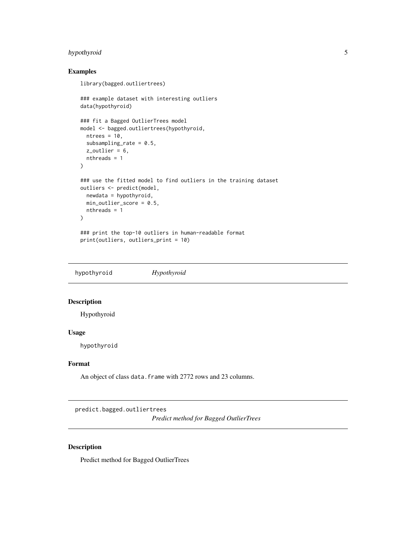#### <span id="page-4-0"></span>hypothyroid 5

#### Examples

```
library(bagged.outliertrees)
### example dataset with interesting outliers
data(hypothyroid)
### fit a Bagged OutlierTrees model
model <- bagged.outliertrees(hypothyroid,
  ntrees = 10,
  subsampling_rate = 0.5,
  z_utlier = 6,
  nthreads = 1
)
### use the fitted model to find outliers in the training dataset
outliers <- predict(model,
 newdata = hypothyroid,
 min_outlier_score = 0.5,
  nthreads = 1
\overline{\phantom{a}}### print the top-10 outliers in human-readable format
print(outliers, outliers_print = 10)
```
<span id="page-4-2"></span>hypothyroid *Hypothyroid*

#### Description

Hypothyroid

#### Usage

hypothyroid

#### Format

An object of class data. frame with 2772 rows and 23 columns.

<span id="page-4-1"></span>predict.bagged.outliertrees

*Predict method for Bagged OutlierTrees*

#### Description

Predict method for Bagged OutlierTrees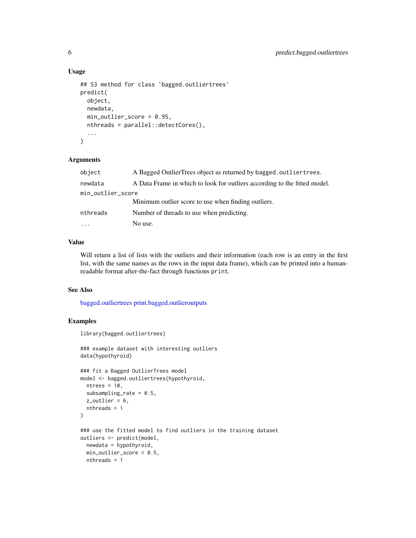#### Usage

```
## S3 method for class 'bagged.outliertrees'
predict(
  object,
 newdata,
  min_outlier_score = 0.95,
  nthreads = parallel::detectCores(),
  ...
)
```
#### Arguments

| object            | A Bagged OutlierTrees object as returned by bagged.outliertrees.          |
|-------------------|---------------------------------------------------------------------------|
| newdata           | A Data Frame in which to look for outliers according to the fitted model. |
| min_outlier_score |                                                                           |
|                   | Minimum outlier score to use when finding outliers.                       |
| nthreads          | Number of threads to use when predicting.                                 |
| $\cdot$           | No use.                                                                   |

#### Value

Will return a list of lists with the outliers and their information (each row is an entry in the first list, with the same names as the rows in the input data frame), which can be printed into a humanreadable format after-the-fact through functions print.

#### See Also

[bagged.outliertrees](#page-1-1) [print.bagged.outlieroutputs](#page-6-1)

#### Examples

```
library(bagged.outliertrees)
### example dataset with interesting outliers
data(hypothyroid)
### fit a Bagged OutlierTrees model
model <- bagged.outliertrees(hypothyroid,
  ntrees = 10,
  subsampling_rate = 0.5,
  z_outlier = 6,
  nthreads = 1
\mathcal{L}### use the fitted model to find outliers in the training dataset
outliers <- predict(model,
  newdata = hypothyroid,
  min_outlier_score = 0.5,
  nthreads = 1
```
<span id="page-5-0"></span>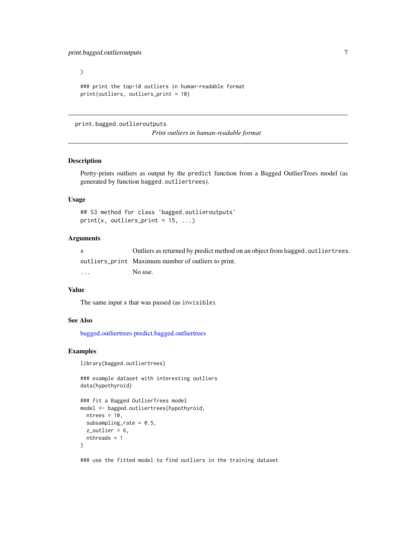<span id="page-6-0"></span> $\mathcal{L}$ ### print the top-10 outliers in human-readable format print(outliers, outliers\_print = 10)

<span id="page-6-1"></span>print.bagged.outlieroutputs

*Print outliers in human-readable format*

#### Description

Pretty-prints outliers as output by the predict function from a Bagged OutlierTrees model (as generated by function bagged.outliertrees).

#### Usage

```
## S3 method for class 'bagged.outlieroutputs'
print(x, outliers\_print = 15, ...)
```
#### Arguments

|                         | Outliers as returned by predict method on an object from bagged, outlier trees. |
|-------------------------|---------------------------------------------------------------------------------|
|                         | outliers_print Maximum number of outliers to print.                             |
| $\cdot$ $\cdot$ $\cdot$ | No use.                                                                         |

#### Value

The same input x that was passed (as invisible).

#### See Also

[bagged.outliertrees](#page-1-1) [predict.bagged.outliertrees](#page-4-1)

#### Examples

```
library(bagged.outliertrees)
```
### example dataset with interesting outliers data(hypothyroid)

```
### fit a Bagged OutlierTrees model
model <- bagged.outliertrees(hypothyroid,
  ntrees = 10,
  subsampling_rate = 0.5,
  z_outlier = 6,
  nthreads = 1
)
```
### use the fitted model to find outliers in the training dataset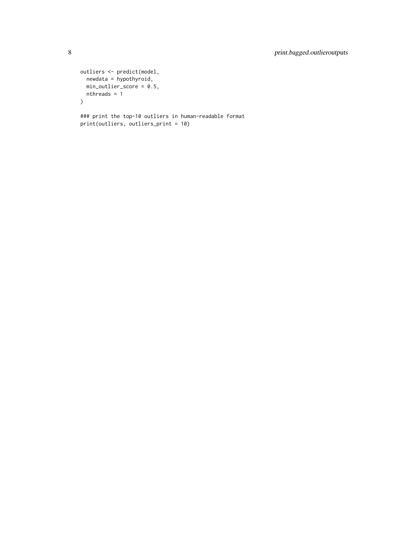```
outliers <- predict(model,
 newdata = hypothyroid,
 min_outlier_score = 0.5,
 nthreads = 1
\lambda
```
### print the top-10 outliers in human-readable format print(outliers, outliers\_print = 10)